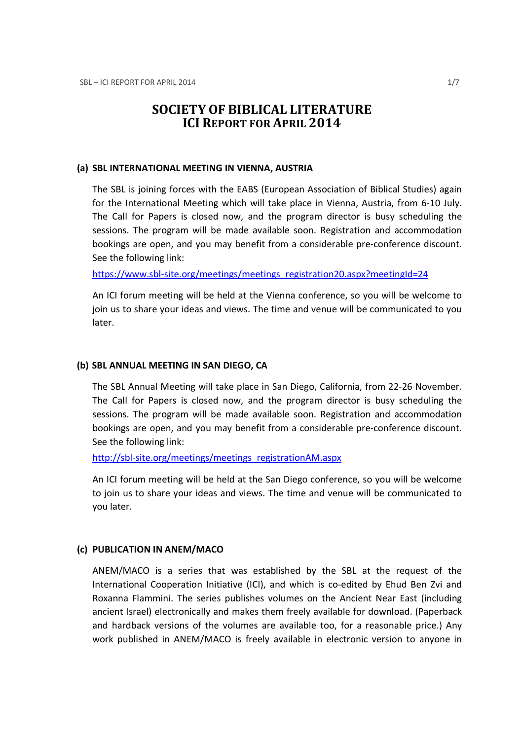# SOCIETY OF BIBLICAL LITERATURE ICI REPORT FOR APRIL 2014

#### (a) SBL INTERNATIONAL MEETING IN VIENNA, AUSTRIA

The SBL is joining forces with the EABS (European Association of Biblical Studies) again for the International Meeting which will take place in Vienna, Austria, from 6-10 July. The Call for Papers is closed now, and the program director is busy scheduling the sessions. The program will be made available soon. Registration and accommodation bookings are open, and you may benefit from a considerable pre-conference discount. See the following link:

https://www.sbl-site.org/meetings/meetings\_registration20.aspx?meetingId=24

An ICI forum meeting will be held at the Vienna conference, so you will be welcome to join us to share your ideas and views. The time and venue will be communicated to you later.

## (b) SBL ANNUAL MEETING IN SAN DIEGO, CA

The SBL Annual Meeting will take place in San Diego, California, from 22-26 November. The Call for Papers is closed now, and the program director is busy scheduling the sessions. The program will be made available soon. Registration and accommodation bookings are open, and you may benefit from a considerable pre-conference discount. See the following link:

http://sbl-site.org/meetings/meetings\_registrationAM.aspx

An ICI forum meeting will be held at the San Diego conference, so you will be welcome to join us to share your ideas and views. The time and venue will be communicated to you later.

# (c) PUBLICATION IN ANEM/MACO

ANEM/MACO is a series that was established by the SBL at the request of the International Cooperation Initiative (ICI), and which is co-edited by Ehud Ben Zvi and Roxanna Flammini. The series publishes volumes on the Ancient Near East (including ancient Israel) electronically and makes them freely available for download. (Paperback and hardback versions of the volumes are available too, for a reasonable price.) Any work published in ANEM/MACO is freely available in electronic version to anyone in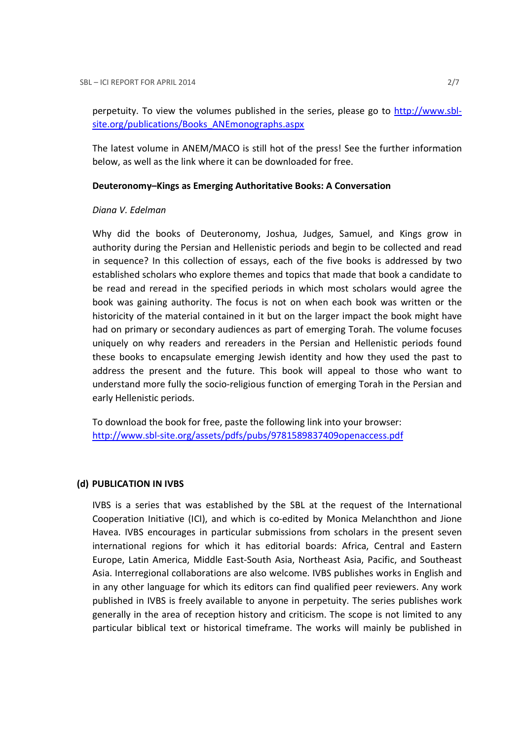perpetuity. To view the volumes published in the series, please go to http://www.sblsite.org/publications/Books\_ANEmonographs.aspx

The latest volume in ANEM/MACO is still hot of the press! See the further information below, as well as the link where it can be downloaded for free.

# Deuteronomy–Kings as Emerging Authoritative Books: A Conversation

# Diana V. Edelman

Why did the books of Deuteronomy, Joshua, Judges, Samuel, and Kings grow in authority during the Persian and Hellenistic periods and begin to be collected and read in sequence? In this collection of essays, each of the five books is addressed by two established scholars who explore themes and topics that made that book a candidate to be read and reread in the specified periods in which most scholars would agree the book was gaining authority. The focus is not on when each book was written or the historicity of the material contained in it but on the larger impact the book might have had on primary or secondary audiences as part of emerging Torah. The volume focuses uniquely on why readers and rereaders in the Persian and Hellenistic periods found these books to encapsulate emerging Jewish identity and how they used the past to address the present and the future. This book will appeal to those who want to understand more fully the socio-religious function of emerging Torah in the Persian and early Hellenistic periods.

To download the book for free, paste the following link into your browser: http://www.sbl-site.org/assets/pdfs/pubs/9781589837409openaccess.pdf

#### (d) PUBLICATION IN IVBS

IVBS is a series that was established by the SBL at the request of the International Cooperation Initiative (ICI), and which is co-edited by Monica Melanchthon and Jione Havea. IVBS encourages in particular submissions from scholars in the present seven international regions for which it has editorial boards: Africa, Central and Eastern Europe, Latin America, Middle East-South Asia, Northeast Asia, Pacific, and Southeast Asia. Interregional collaborations are also welcome. IVBS publishes works in English and in any other language for which its editors can find qualified peer reviewers. Any work published in IVBS is freely available to anyone in perpetuity. The series publishes work generally in the area of reception history and criticism. The scope is not limited to any particular biblical text or historical timeframe. The works will mainly be published in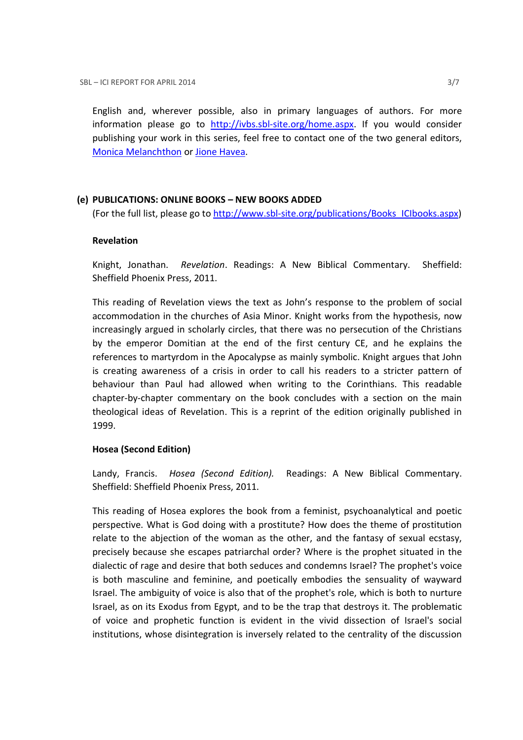English and, wherever possible, also in primary languages of authors. For more information please go to http://ivbs.sbl-site.org/home.aspx. If you would consider publishing your work in this series, feel free to contact one of the two general editors, Monica Melanchthon or Jione Havea.

# (e) PUBLICATIONS: ONLINE BOOKS – NEW BOOKS ADDED

(For the full list, please go to http://www.sbl-site.org/publications/Books\_ICIbooks.aspx)

# Revelation

Knight, Jonathan. Revelation. Readings: A New Biblical Commentary. Sheffield: Sheffield Phoenix Press, 2011.

This reading of Revelation views the text as John's response to the problem of social accommodation in the churches of Asia Minor. Knight works from the hypothesis, now increasingly argued in scholarly circles, that there was no persecution of the Christians by the emperor Domitian at the end of the first century CE, and he explains the references to martyrdom in the Apocalypse as mainly symbolic. Knight argues that John is creating awareness of a crisis in order to call his readers to a stricter pattern of behaviour than Paul had allowed when writing to the Corinthians. This readable chapter-by-chapter commentary on the book concludes with a section on the main theological ideas of Revelation. This is a reprint of the edition originally published in 1999.

# Hosea (Second Edition)

Landy, Francis. Hosea (Second Edition). Readings: A New Biblical Commentary. Sheffield: Sheffield Phoenix Press, 2011.

This reading of Hosea explores the book from a feminist, psychoanalytical and poetic perspective. What is God doing with a prostitute? How does the theme of prostitution relate to the abjection of the woman as the other, and the fantasy of sexual ecstasy, precisely because she escapes patriarchal order? Where is the prophet situated in the dialectic of rage and desire that both seduces and condemns Israel? The prophet's voice is both masculine and feminine, and poetically embodies the sensuality of wayward Israel. The ambiguity of voice is also that of the prophet's role, which is both to nurture Israel, as on its Exodus from Egypt, and to be the trap that destroys it. The problematic of voice and prophetic function is evident in the vivid dissection of Israel's social institutions, whose disintegration is inversely related to the centrality of the discussion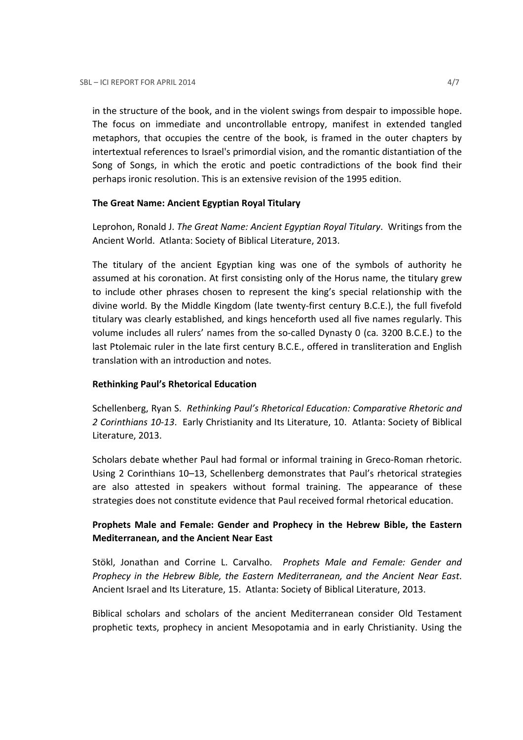in the structure of the book, and in the violent swings from despair to impossible hope. The focus on immediate and uncontrollable entropy, manifest in extended tangled metaphors, that occupies the centre of the book, is framed in the outer chapters by intertextual references to Israel's primordial vision, and the romantic distantiation of the Song of Songs, in which the erotic and poetic contradictions of the book find their perhaps ironic resolution. This is an extensive revision of the 1995 edition.

# The Great Name: Ancient Egyptian Royal Titulary

Leprohon, Ronald J. The Great Name: Ancient Egyptian Royal Titulary. Writings from the Ancient World. Atlanta: Society of Biblical Literature, 2013.

The titulary of the ancient Egyptian king was one of the symbols of authority he assumed at his coronation. At first consisting only of the Horus name, the titulary grew to include other phrases chosen to represent the king's special relationship with the divine world. By the Middle Kingdom (late twenty-first century B.C.E.), the full fivefold titulary was clearly established, and kings henceforth used all five names regularly. This volume includes all rulers' names from the so-called Dynasty 0 (ca. 3200 B.C.E.) to the last Ptolemaic ruler in the late first century B.C.E., offered in transliteration and English translation with an introduction and notes.

# Rethinking Paul's Rhetorical Education

Schellenberg, Ryan S. Rethinking Paul's Rhetorical Education: Comparative Rhetoric and 2 Corinthians 10-13. Early Christianity and Its Literature, 10. Atlanta: Society of Biblical Literature, 2013.

Scholars debate whether Paul had formal or informal training in Greco-Roman rhetoric. Using 2 Corinthians 10–13, Schellenberg demonstrates that Paul's rhetorical strategies are also attested in speakers without formal training. The appearance of these strategies does not constitute evidence that Paul received formal rhetorical education.

# Prophets Male and Female: Gender and Prophecy in the Hebrew Bible, the Eastern Mediterranean, and the Ancient Near East

Stökl, Jonathan and Corrine L. Carvalho. Prophets Male and Female: Gender and Prophecy in the Hebrew Bible, the Eastern Mediterranean, and the Ancient Near East. Ancient Israel and Its Literature, 15. Atlanta: Society of Biblical Literature, 2013.

Biblical scholars and scholars of the ancient Mediterranean consider Old Testament prophetic texts, prophecy in ancient Mesopotamia and in early Christianity. Using the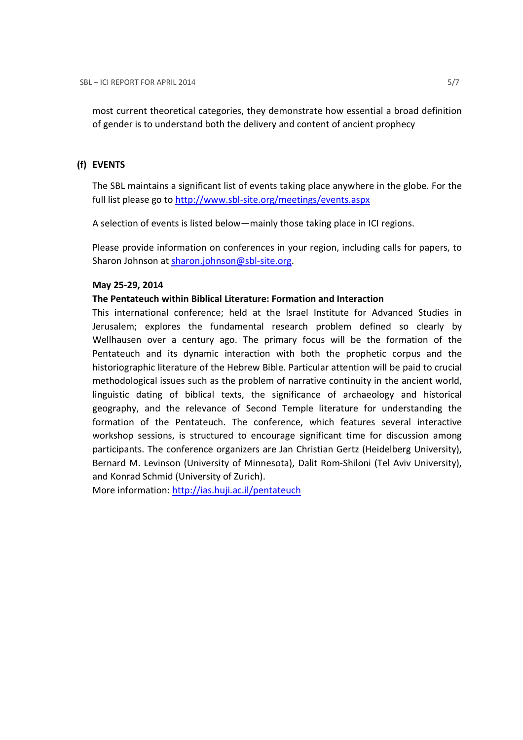most current theoretical categories, they demonstrate how essential a broad definition of gender is to understand both the delivery and content of ancient prophecy

# (f) EVENTS

The SBL maintains a significant list of events taking place anywhere in the globe. For the full list please go to http://www.sbl-site.org/meetings/events.aspx

A selection of events is listed below—mainly those taking place in ICI regions.

Please provide information on conferences in your region, including calls for papers, to Sharon Johnson at sharon.johnson@sbl-site.org.

#### May 25-29, 2014

## The Pentateuch within Biblical Literature: Formation and Interaction

This international conference; held at the Israel Institute for Advanced Studies in Jerusalem; explores the fundamental research problem defined so clearly by Wellhausen over a century ago. The primary focus will be the formation of the Pentateuch and its dynamic interaction with both the prophetic corpus and the historiographic literature of the Hebrew Bible. Particular attention will be paid to crucial methodological issues such as the problem of narrative continuity in the ancient world, linguistic dating of biblical texts, the significance of archaeology and historical geography, and the relevance of Second Temple literature for understanding the formation of the Pentateuch. The conference, which features several interactive workshop sessions, is structured to encourage significant time for discussion among participants. The conference organizers are Jan Christian Gertz (Heidelberg University), Bernard M. Levinson (University of Minnesota), Dalit Rom-Shiloni (Tel Aviv University), and Konrad Schmid (University of Zurich).

More information: http://ias.huji.ac.il/pentateuch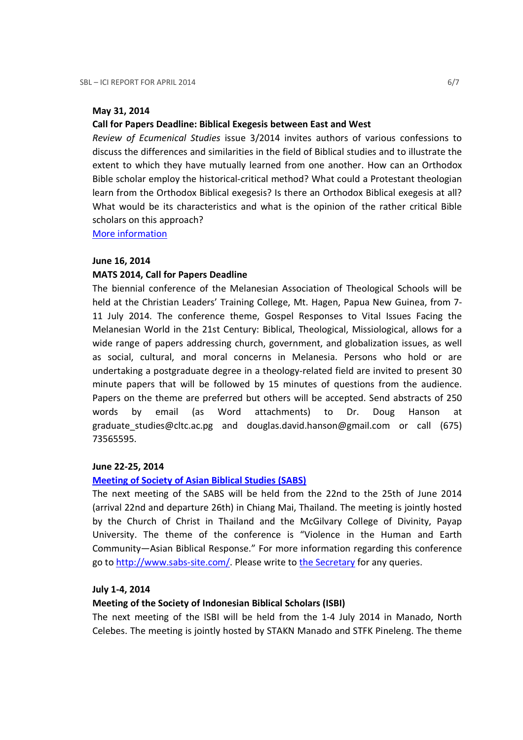#### May 31, 2014

#### Call for Papers Deadline: Biblical Exegesis between East and West

Review of Ecumenical Studies issue 3/2014 invites authors of various confessions to discuss the differences and similarities in the field of Biblical studies and to illustrate the extent to which they have mutually learned from one another. How can an Orthodox Bible scholar employ the historical-critical method? What could a Protestant theologian learn from the Orthodox Biblical exegesis? Is there an Orthodox Biblical exegesis at all? What would be its characteristics and what is the opinion of the rather critical Bible scholars on this approach?

More information

#### June 16, 2014

#### MATS 2014, Call for Papers Deadline

The biennial conference of the Melanesian Association of Theological Schools will be held at the Christian Leaders' Training College, Mt. Hagen, Papua New Guinea, from 7- 11 July 2014. The conference theme, Gospel Responses to Vital Issues Facing the Melanesian World in the 21st Century: Biblical, Theological, Missiological, allows for a wide range of papers addressing church, government, and globalization issues, as well as social, cultural, and moral concerns in Melanesia. Persons who hold or are undertaking a postgraduate degree in a theology-related field are invited to present 30 minute papers that will be followed by 15 minutes of questions from the audience. Papers on the theme are preferred but others will be accepted. Send abstracts of 250 words by email (as Word attachments) to Dr. Doug Hanson at graduate\_studies@cltc.ac.pg and douglas.david.hanson@gmail.com or call (675) 73565595.

#### June 22-25, 2014

#### Meeting of Society of Asian Biblical Studies (SABS)

The next meeting of the SABS will be held from the 22nd to the 25th of June 2014 (arrival 22nd and departure 26th) in Chiang Mai, Thailand. The meeting is jointly hosted by the Church of Christ in Thailand and the McGilvary College of Divinity, Payap University. The theme of the conference is "Violence in the Human and Earth Community—Asian Biblical Response." For more information regarding this conference go to http://www.sabs-site.com/. Please write to the Secretary for any queries.

#### July 1-4, 2014

#### Meeting of the Society of Indonesian Biblical Scholars (ISBI)

The next meeting of the ISBI will be held from the 1-4 July 2014 in Manado, North Celebes. The meeting is jointly hosted by STAKN Manado and STFK Pineleng. The theme